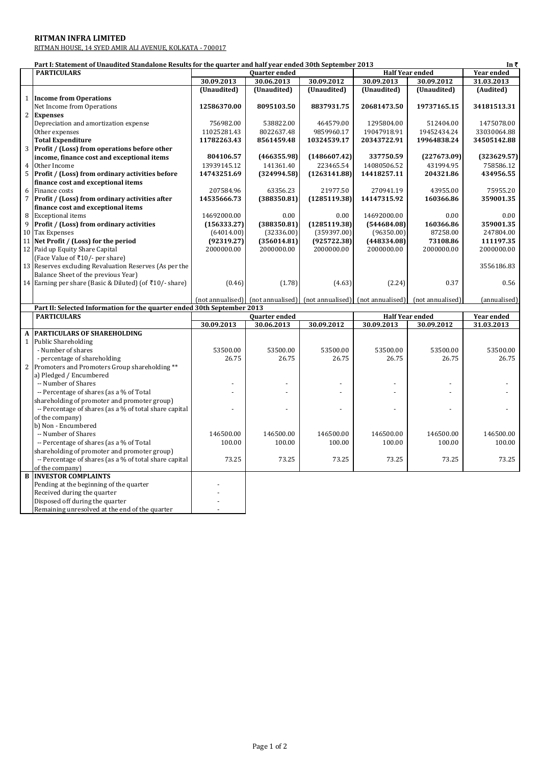## **RITMAN INFRA LIMITED**

|              | <b>RITMAN INFRA LIMITED</b>                                                                               |             |                      |              |                                                                     |                  |                   |
|--------------|-----------------------------------------------------------------------------------------------------------|-------------|----------------------|--------------|---------------------------------------------------------------------|------------------|-------------------|
|              | RITMAN HOUSE, 14 SYED AMIR ALI AVENUE, KOLKATA - 700017                                                   |             |                      |              |                                                                     |                  |                   |
|              |                                                                                                           |             |                      |              |                                                                     |                  |                   |
|              | Part I: Statement of Unaudited Standalone Results for the quarter and half year ended 30th September 2013 |             |                      |              |                                                                     |                  | In $\bar{z}$      |
|              | <b>PARTICULARS</b>                                                                                        |             | <b>Ouarter ended</b> |              | <b>Half Year ended</b>                                              |                  | <b>Year ended</b> |
|              |                                                                                                           | 30.09.2013  | 30.06.2013           | 30.09.2012   | 30.09.2013                                                          | 30.09.2012       | 31.03.2013        |
|              |                                                                                                           | (Unaudited) | (Unaudited)          | (Unaudited)  | (Unaudited)                                                         | (Unaudited)      | (Audited)         |
| $\mathbf{1}$ | <b>Income from Operations</b>                                                                             |             |                      |              |                                                                     |                  |                   |
|              | Net Income from Operations                                                                                | 12586370.00 | 8095103.50           | 8837931.75   | 20681473.50                                                         | 19737165.15      | 34181513.31       |
|              | 2 Expenses                                                                                                |             |                      |              |                                                                     |                  |                   |
|              | Depreciation and amortization expense                                                                     | 756982.00   | 538822.00            | 464579.00    | 1295804.00                                                          | 512404.00        | 1475078.00        |
|              | Other expenses                                                                                            | 11025281.43 | 8022637.48           | 9859960.17   | 19047918.91                                                         | 19452434.24      | 33030064.88       |
|              | <b>Total Expenditure</b>                                                                                  | 11782263.43 | 8561459.48           | 10324539.17  | 20343722.91                                                         | 19964838.24      | 34505142.88       |
|              | 3   Profit / (Loss) from operations before other                                                          |             |                      |              |                                                                     |                  |                   |
|              | income, finance cost and exceptional items                                                                | 804106.57   | (466355.98)          | (1486607.42) | 337750.59                                                           | (227673.09)      | (323629.57)       |
|              | 4 Other Income                                                                                            | 13939145.12 | 141361.40            | 223465.54    | 14080506.52                                                         | 431994.95        | 758586.12         |
|              | 5 Profit / (Loss) from ordinary activities before                                                         | 14743251.69 | (324994.58)          | (1263141.88) | 14418257.11                                                         | 204321.86        | 434956.55         |
|              | finance cost and exceptional items                                                                        |             |                      |              |                                                                     |                  |                   |
| 6            | Finance costs                                                                                             | 207584.96   | 63356.23             | 21977.50     | 270941.19                                                           | 43955.00         | 75955.20          |
| 7            | Profit / (Loss) from ordinary activities after                                                            | 14535666.73 | (388350.81)          | (1285119.38) | 14147315.92                                                         | 160366.86        | 359001.35         |
|              | finance cost and exceptional items                                                                        |             |                      |              |                                                                     |                  |                   |
|              | 8 Exceptional items                                                                                       | 14692000.00 | 0.00                 | 0.00         | 14692000.00                                                         | 0.00             | 0.00              |
|              | 9 Profit / (Loss) from ordinary activities                                                                | (156333.27) | (388350.81)          | (1285119.38) | (544684.08)                                                         | 160366.86        | 359001.35         |
|              | 10 Tax Expenses                                                                                           | (64014.00)  | (32336.00)           | (359397.00)  | (96350.00)                                                          | 87258.00         | 247804.00         |
|              | 11 Net Profit / (Loss) for the period                                                                     | (92319.27)  | (356014.81)          | (925722.38)  | (448334.08)                                                         | 73108.86         | 111197.35         |
|              | 12 Paid up Equity Share Capital                                                                           | 2000000.00  | 2000000.00           | 2000000.00   | 2000000.00                                                          | 2000000.00       | 2000000.00        |
|              | (Face Value of ₹10/- per share)                                                                           |             |                      |              |                                                                     |                  |                   |
|              | 13 Reserves excluding Revaluation Reserves (As per the                                                    |             |                      |              |                                                                     |                  | 3556186.83        |
|              | Balance Sheet of the previous Year)                                                                       |             |                      |              |                                                                     |                  |                   |
|              | 14 Earning per share (Basic & Diluted) (of ₹10/- share)                                                   | (0.46)      | (1.78)               | (4.63)       | (2.24)                                                              | 0.37             | 0.56              |
|              |                                                                                                           |             |                      |              |                                                                     |                  |                   |
|              |                                                                                                           |             |                      |              | (not annualised) [not annualised] [not annualised] [not annualised] | (not annualised) | (annualised)      |
|              | Part II: Selected Information for the quarter ended 30th September 2013                                   |             |                      |              |                                                                     |                  |                   |
|              | <b>DADTICHI ADC</b>                                                                                       |             | <b>Ouartor onded</b> |              |                                                                     | Half Voar ondod  | Voar onded        |

|   | <b>PARTICULARS</b>                                     | <b>Quarter ended</b> |            | <b>Half Year ended</b> |            | <b>Year ended</b> |            |
|---|--------------------------------------------------------|----------------------|------------|------------------------|------------|-------------------|------------|
|   |                                                        | 30.09.2013           | 30.06.2013 | 30.09.2012             | 30.09.2013 | 30.09.2012        | 31.03.2013 |
|   | A PARTICULARS OF SHAREHOLDING                          |                      |            |                        |            |                   |            |
| 1 | Public Shareholding                                    |                      |            |                        |            |                   |            |
|   | - Number of shares                                     | 53500.00             | 53500.00   | 53500.00               | 53500.00   | 53500.00          | 53500.00   |
|   | - percentage of shareholding                           | 26.75                | 26.75      | 26.75                  | 26.75      | 26.75             | 26.75      |
|   | Promoters and Promoters Group shareholding **          |                      |            |                        |            |                   |            |
|   | a) Pledged / Encumbered                                |                      |            |                        |            |                   |            |
|   | -- Number of Shares                                    |                      |            |                        |            |                   |            |
|   | -- Percentage of shares (as a % of Total               |                      |            |                        |            |                   |            |
|   | shareholding of promoter and promoter group)           |                      |            |                        |            |                   |            |
|   | -- Percentage of shares (as a % of total share capital |                      |            |                        |            |                   |            |
|   | of the company)                                        |                      |            |                        |            |                   |            |
|   | b) Non - Encumbered                                    |                      |            |                        |            |                   |            |
|   | -- Number of Shares                                    | 146500.00            | 146500.00  | 146500.00              | 146500.00  | 146500.00         | 146500.00  |
|   | -- Percentage of shares (as a % of Total               | 100.00               | 100.00     | 100.00                 | 100.00     | 100.00            | 100.00     |
|   | shareholding of promoter and promoter group)           |                      |            |                        |            |                   |            |
|   | -- Percentage of shares (as a % of total share capital | 73.25                | 73.25      | 73.25                  | 73.25      | 73.25             | 73.25      |
|   | of the company)                                        |                      |            |                        |            |                   |            |
| B | <b>INVESTOR COMPLAINTS</b>                             |                      |            |                        |            |                   |            |
|   | Pending at the beginning of the quarter                |                      |            |                        |            |                   |            |
|   | Received during the quarter                            |                      |            |                        |            |                   |            |
|   | Disposed off during the quarter                        |                      |            |                        |            |                   |            |
|   | Remaining unresolved at the end of the quarter         |                      |            |                        |            |                   |            |